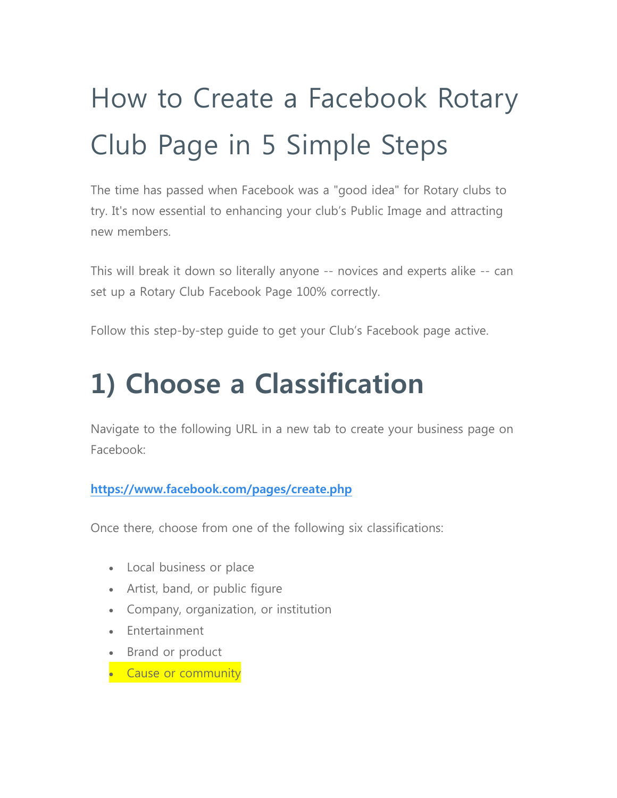# How to Create a Facebook Rotary Club Page in 5 Simple Steps

The time has passed when Facebook was a "good idea" for Rotary clubs to try. It's now essential to enhancing your club's Public Image and attracting new members.

This will break it down so literally anyone -- novices and experts alike -- can set up a Rotary Club Facebook Page 100% correctly.

Follow this step-by-step guide to get your Club's Facebook page active.

# **1) Choose a Classification**

Navigate to the following URL in a new tab to create your business page on Facebook:

#### **https://www.facebook.com/pages/create.php**

Once there, choose from one of the following six classifications:

- Local business or place
- Artist, band, or public figure
- Company, organization, or institution
- **Entertainment**
- Brand or product
- Cause or community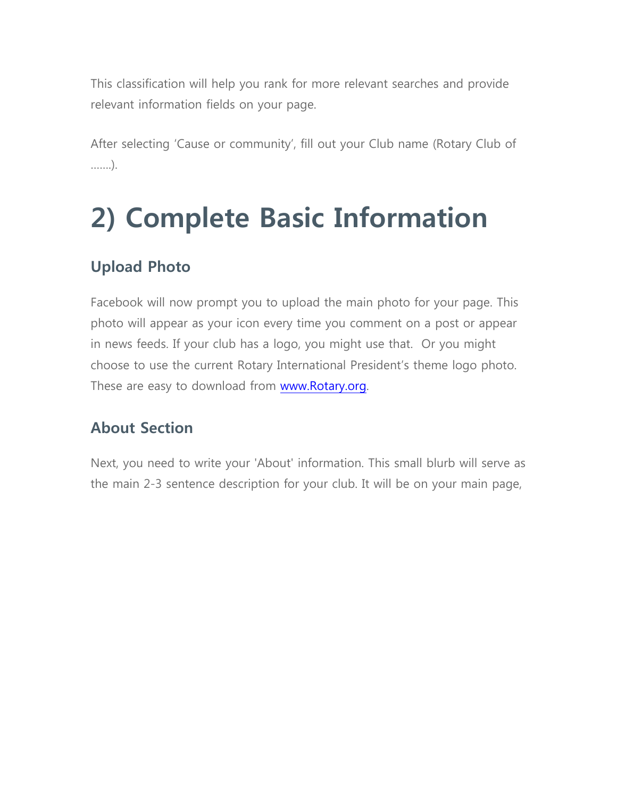This classification will help you rank for more relevant searches and provide relevant information fields on your page.

After selecting 'Cause or community', fill out your Club name (Rotary Club of …….).

# **2) Complete Basic Information**

## **Upload Photo**

Facebook will now prompt you to upload the main photo for your page. This photo will appear as your icon every time you comment on a post or appear in news feeds. If your club has a logo, you might use that. Or you might choose to use the current Rotary International President's theme logo photo. These are easy to download from www.Rotary.org.

### **About Section**

Next, you need to write your 'About' information. This small blurb will serve as the main 2-3 sentence description for your club. It will be on your main page,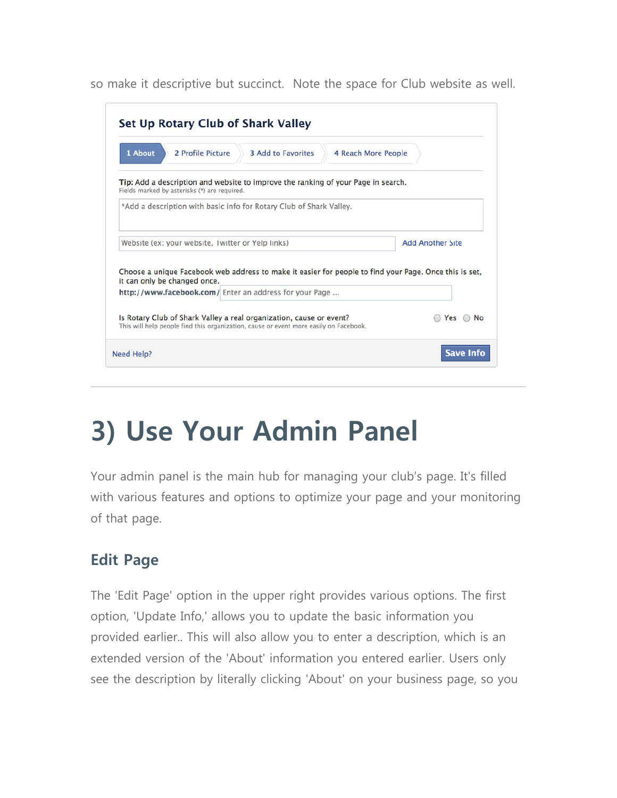so make it descriptive but succinct. Note the space for Club website as well.

| 1 About                                           | 2 Profile Picture                            | <b>3 Add to Favorites</b>                                                                                                                                    | 4 Reach More People |                         |
|---------------------------------------------------|----------------------------------------------|--------------------------------------------------------------------------------------------------------------------------------------------------------------|---------------------|-------------------------|
|                                                   | Fields marked by asterisks (*) are required. | Tip: Add a description and website to improve the ranking of your Page in search.                                                                            |                     |                         |
|                                                   |                                              | *Add a description with basic info for Rotary Club of Shark Valley.                                                                                          |                     |                         |
| Website (ex: your website, Twitter or Yelp links) |                                              |                                                                                                                                                              |                     | <b>Add Another Site</b> |
|                                                   |                                              |                                                                                                                                                              |                     |                         |
|                                                   | it can only be changed once.                 | Choose a unique Facebook web address to make it easier for people to find your Page. Once this is set,                                                       |                     |                         |
|                                                   |                                              | http://www.facebook.com/ Enter an address for your Page                                                                                                      |                     |                         |
|                                                   |                                              | Is Rotary Club of Shark Valley a real organization, cause or event?<br>This will help people find this organization, cause or event more easily on Facebook. |                     | Yes $\bigcirc$ No       |

# **3) Use Your Admin Panel**

Your admin panel is the main hub for managing your club's page. It's filled with various features and options to optimize your page and your monitoring of that page.

### **Edit Page**

The 'Edit Page' option in the upper right provides various options. The first option, 'Update Info,' allows you to update the basic information you provided earlier.. This will also allow you to enter a description, which is an extended version of the 'About' information you entered earlier. Users only see the description by literally clicking 'About' on your business page, so you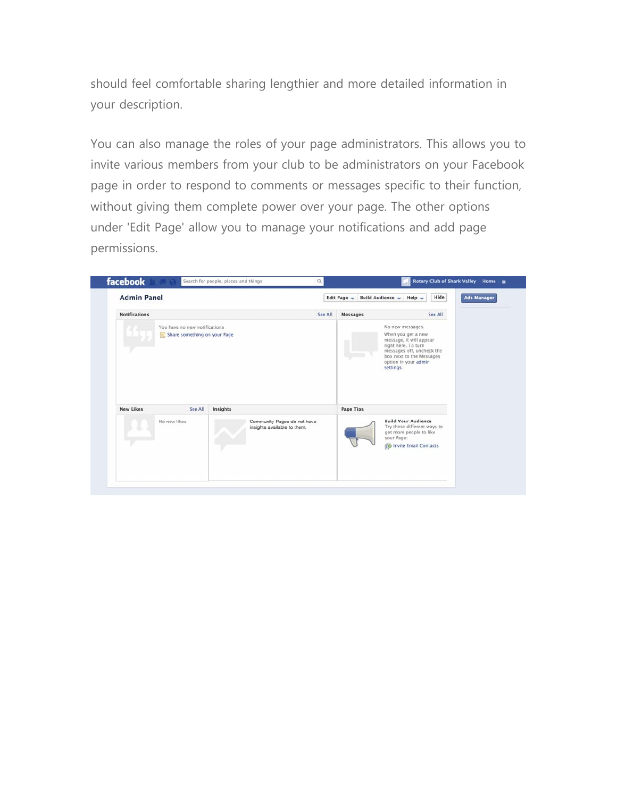should feel comfortable sharing lengthier and more detailed information in your description.

You can also manage the roles of your page administrators. This allows you to invite various members from your club to be administrators on your Facebook page in order to respond to comments or messages specific to their function, without giving them complete power over your page. The other options under 'Edit Page' allow you to manage your notifications and add page permissions.

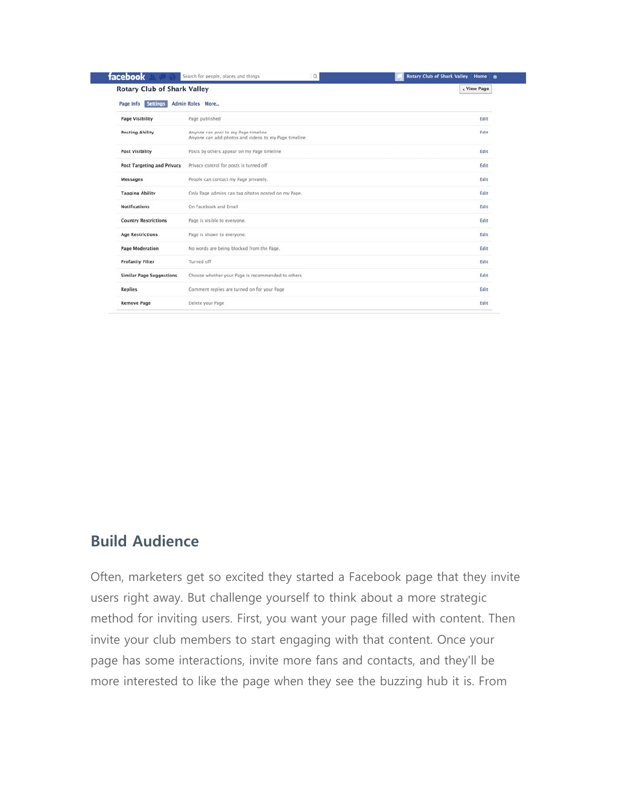| <b>Rotary Club of Shark Valley</b> |                                                                                             | « View Page |  |
|------------------------------------|---------------------------------------------------------------------------------------------|-------------|--|
| Page Info<br><b>Settings</b>       | <b>Admin Roles More</b>                                                                     |             |  |
| <b>Page Visibility</b>             | Page published                                                                              | Edit        |  |
| <b>Posting Ability</b>             | Anyone can post to my Page timeline<br>Anyone can add photos and videos to my Page timeline | Edit        |  |
| <b>Post Visibility</b>             | Posts by others appear on my Page timeline                                                  | Edit        |  |
| <b>Post Targeting and Privacy</b>  | Privacy control for posts is turned off                                                     | Edit        |  |
| <b>Messages</b>                    | People can contact my Page privately.                                                       | Edit        |  |
| <b>Tagging Ability</b>             | Only Page admins can tag photos posted on my Page.                                          | Edit        |  |
| <b>Notifications</b>               | On Facebook and Email                                                                       | Edit        |  |
| <b>Country Restrictions</b>        | Page is visible to everyone.                                                                | Edit        |  |
| <b>Age Restrictions</b>            | Page is shown to everyone.                                                                  | Edit        |  |
| <b>Page Moderation</b>             | No words are being blocked from the Page.                                                   | Edit        |  |
| <b>Profanity Filter</b>            | Turned off                                                                                  | Edit        |  |
| <b>Similar Page Suggestions</b>    | Choose whether your Page is recommended to others                                           | Edit        |  |
| <b>Replies</b>                     | Comment replies are turned on for your Page                                                 | Edit        |  |

#### **Build Audience**

Often, marketers get so excited they started a Facebook page that they invite users right away. But challenge yourself to think about a more strategic method for inviting users. First, you want your page filled with content. Then invite your club members to start engaging with that content. Once your page has some interactions, invite more fans and contacts, and they'll be more interested to like the page when they see the buzzing hub it is. From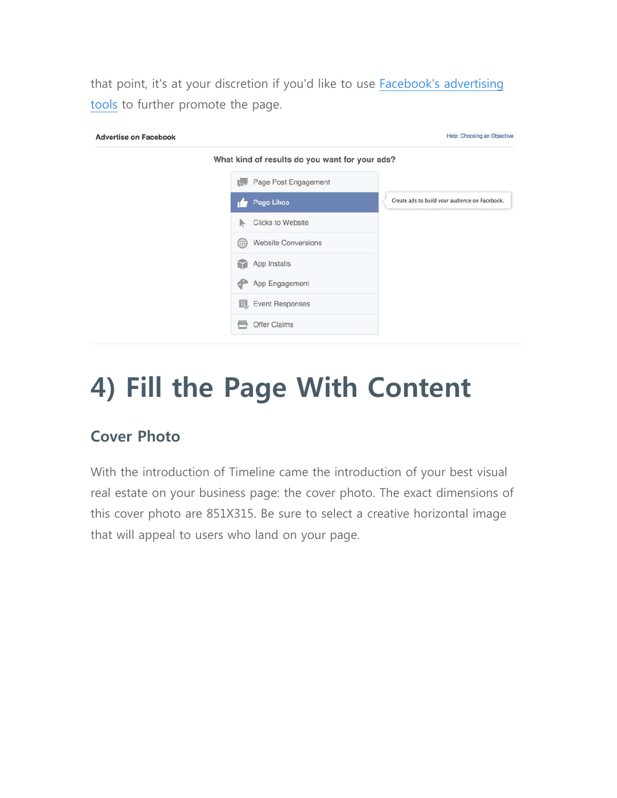that point, it's at your discretion if you'd like to use Facebook's advertising tools to further promote the page.

| <b>Advertise on Facebook</b> |                                                | Help: Choosing an Objective                    |  |
|------------------------------|------------------------------------------------|------------------------------------------------|--|
|                              | What kind of results do you want for your ads? |                                                |  |
|                              | Page Post Engagement<br><b>IM</b>              |                                                |  |
|                              | Page Likes                                     | Create ads to build your audience on Facebook. |  |
|                              | <b>Clicks to Website</b><br>R.                 |                                                |  |
|                              | <b>Website Conversions</b><br>∰                |                                                |  |
|                              | App Installs<br>G                              |                                                |  |
|                              | App Engagement                                 |                                                |  |
|                              | <b>ID</b> , Event Responses                    |                                                |  |
|                              | Offer Claims                                   |                                                |  |

# **4) Fill the Page With Content**

### **Cover Photo**

With the introduction of Timeline came the introduction of your best visual real estate on your business page: the cover photo. The exact dimensions of this cover photo are 851X315. Be sure to select a creative horizontal image that will appeal to users who land on your page.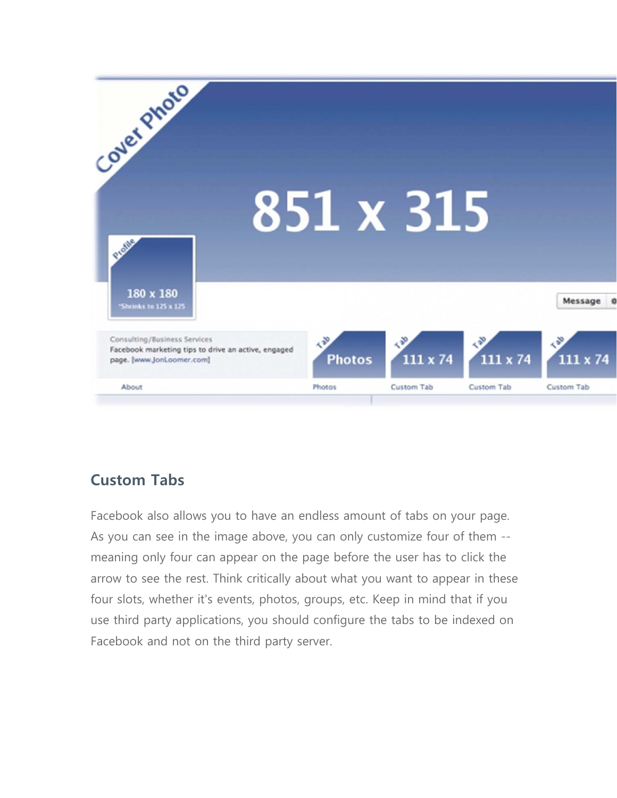

### **Custom Tabs**

Facebook also allows you to have an endless amount of tabs on your page. As you can see in the image above, you can only customize four of them - meaning only four can appear on the page before the user has to click the arrow to see the rest. Think critically about what you want to appear in these four slots, whether it's events, photos, groups, etc. Keep in mind that if you use third party applications, you should configure the tabs to be indexed on Facebook and not on the third party server.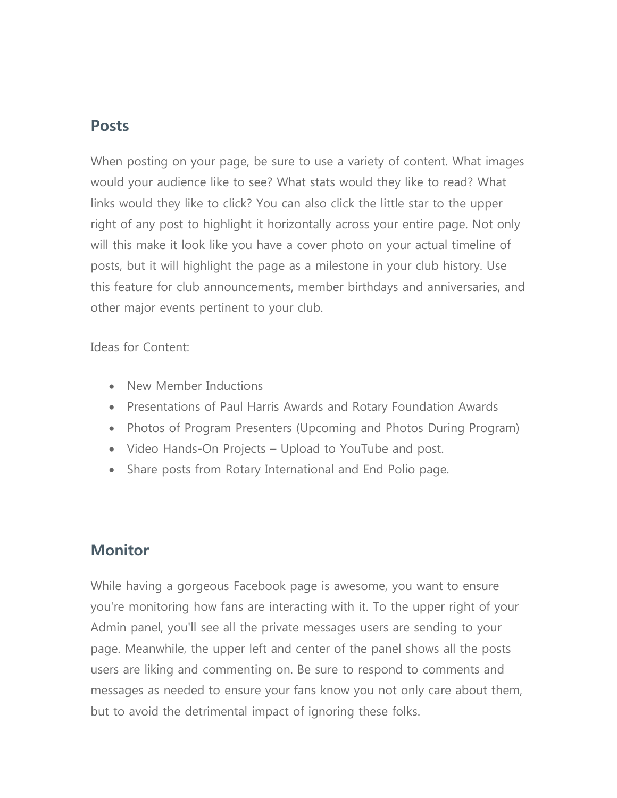### **Posts**

When posting on your page, be sure to use a variety of content. What images would your audience like to see? What stats would they like to read? What links would they like to click? You can also click the little star to the upper right of any post to highlight it horizontally across your entire page. Not only will this make it look like you have a cover photo on your actual timeline of posts, but it will highlight the page as a milestone in your club history. Use this feature for club announcements, member birthdays and anniversaries, and other major events pertinent to your club.

Ideas for Content:

- New Member Inductions
- Presentations of Paul Harris Awards and Rotary Foundation Awards
- Photos of Program Presenters (Upcoming and Photos During Program)
- Video Hands-On Projects Upload to YouTube and post.
- Share posts from Rotary International and End Polio page.

#### **Monitor**

While having a gorgeous Facebook page is awesome, you want to ensure you're monitoring how fans are interacting with it. To the upper right of your Admin panel, you'll see all the private messages users are sending to your page. Meanwhile, the upper left and center of the panel shows all the posts users are liking and commenting on. Be sure to respond to comments and messages as needed to ensure your fans know you not only care about them, but to avoid the detrimental impact of ignoring these folks.